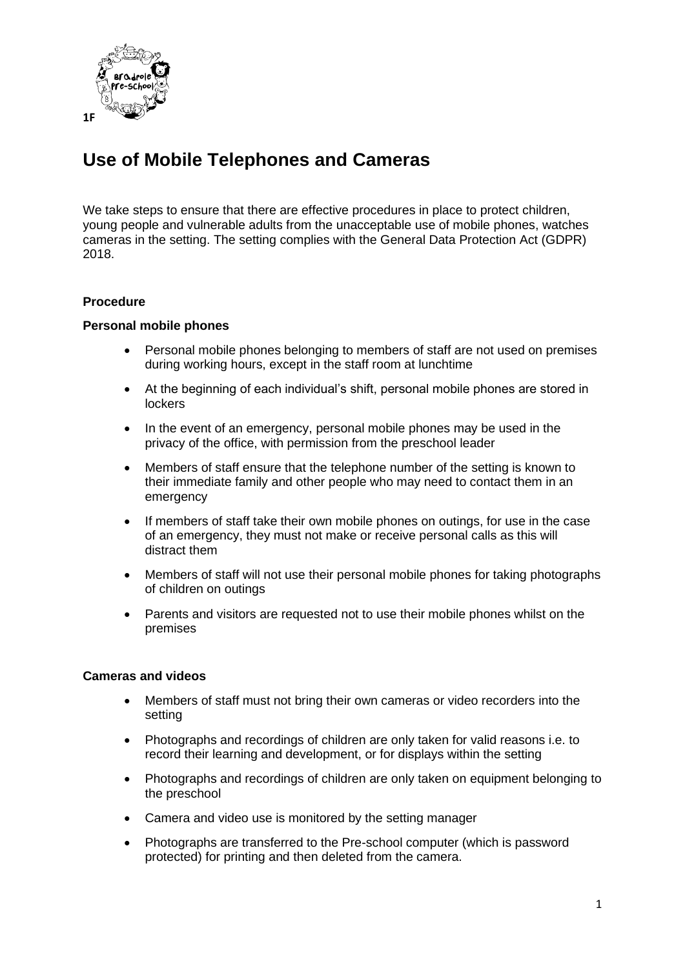

## **Use of Mobile Telephones and Cameras**

We take steps to ensure that there are effective procedures in place to protect children, young people and vulnerable adults from the unacceptable use of mobile phones, watches cameras in the setting. The setting complies with the General Data Protection Act (GDPR) 2018.

## **Procedure**

## **Personal mobile phones**

- Personal mobile phones belonging to members of staff are not used on premises during working hours, except in the staff room at lunchtime
- At the beginning of each individual's shift, personal mobile phones are stored in **lockers**
- In the event of an emergency, personal mobile phones may be used in the privacy of the office, with permission from the preschool leader
- Members of staff ensure that the telephone number of the setting is known to their immediate family and other people who may need to contact them in an emergency
- If members of staff take their own mobile phones on outings, for use in the case of an emergency, they must not make or receive personal calls as this will distract them
- Members of staff will not use their personal mobile phones for taking photographs of children on outings
- Parents and visitors are requested not to use their mobile phones whilst on the premises

## **Cameras and videos**

- Members of staff must not bring their own cameras or video recorders into the setting
- Photographs and recordings of children are only taken for valid reasons i.e. to record their learning and development, or for displays within the setting
- Photographs and recordings of children are only taken on equipment belonging to the preschool
- Camera and video use is monitored by the setting manager
- Photographs are transferred to the Pre-school computer (which is password protected) for printing and then deleted from the camera.